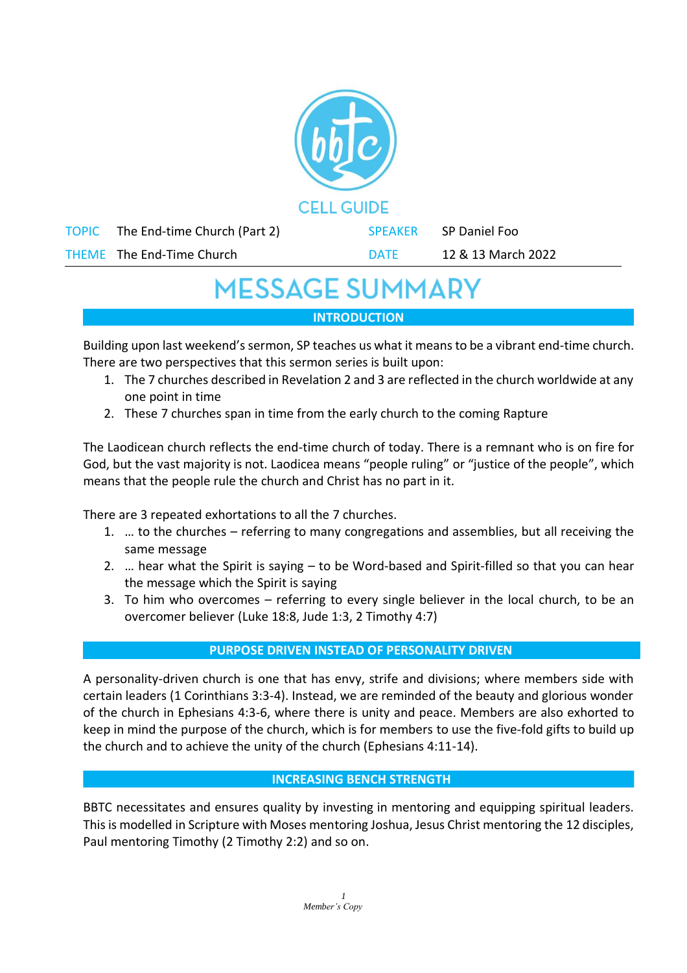| <b>CELL GUIDE</b> |                              |  |                |                    |
|-------------------|------------------------------|--|----------------|--------------------|
| <b>TOPIC</b>      | The End-time Church (Part 2) |  | <b>SPEAKER</b> | SP Daniel Foo      |
|                   | THEME The End-Time Church    |  | <b>DATE</b>    | 12 & 13 March 2022 |
|                   |                              |  |                |                    |

# **MESSAGE SUMMARY**

**INTRODUCTION**

Building upon last weekend's sermon, SP teaches us what it means to be a vibrant end-time church. There are two perspectives that this sermon series is built upon:

- 1. The 7 churches described in Revelation 2 and 3 are reflected in the church worldwide at any one point in time
- 2. These 7 churches span in time from the early church to the coming Rapture

The Laodicean church reflects the end-time church of today. There is a remnant who is on fire for God, but the vast majority is not. Laodicea means "people ruling" or "justice of the people", which means that the people rule the church and Christ has no part in it.

There are 3 repeated exhortations to all the 7 churches.

- 1. … to the churches referring to many congregations and assemblies, but all receiving the same message
- 2. … hear what the Spirit is saying to be Word-based and Spirit-filled so that you can hear the message which the Spirit is saying
- 3. To him who overcomes referring to every single believer in the local church, to be an overcomer believer (Luke 18:8, Jude 1:3, 2 Timothy 4:7)

# **PURPOSE DRIVEN INSTEAD OF PERSONALITY DRIVEN**

A personality-driven church is one that has envy, strife and divisions; where members side with certain leaders (1 Corinthians 3:3-4). Instead, we are reminded of the beauty and glorious wonder of the church in Ephesians 4:3-6, where there is unity and peace. Members are also exhorted to keep in mind the purpose of the church, which is for members to use the five-fold gifts to build up the church and to achieve the unity of the church (Ephesians 4:11-14).

# **INCREASING BENCH STRENGTH**

BBTC necessitates and ensures quality by investing in mentoring and equipping spiritual leaders. This is modelled in Scripture with Moses mentoring Joshua, Jesus Christ mentoring the 12 disciples, Paul mentoring Timothy (2 Timothy 2:2) and so on.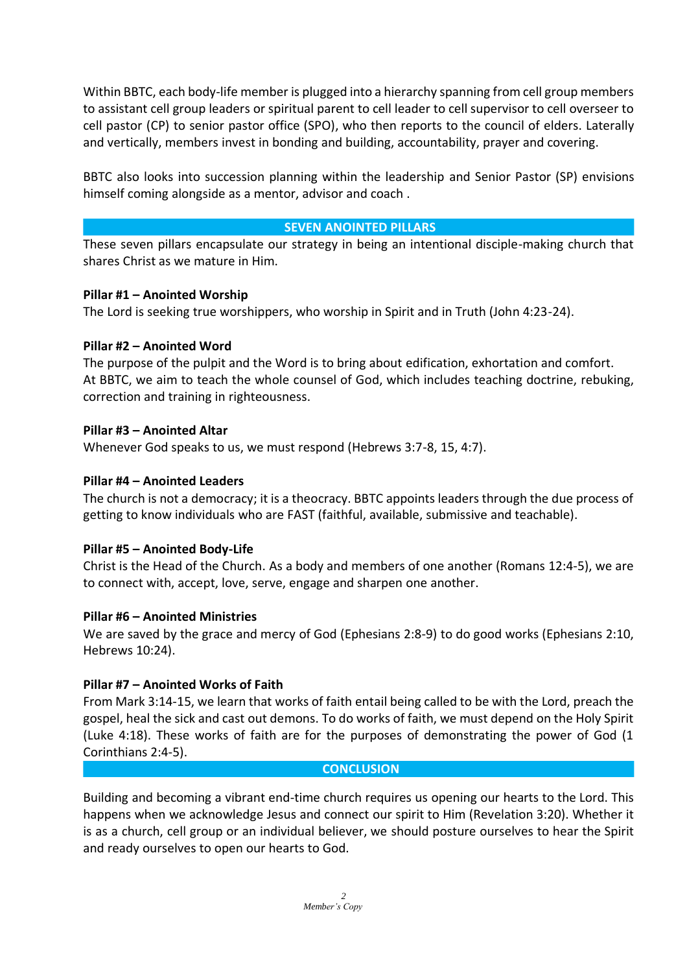Within BBTC, each body-life member is plugged into a hierarchy spanning from cell group members to assistant cell group leaders or spiritual parent to cell leader to cell supervisor to cell overseer to cell pastor (CP) to senior pastor office (SPO), who then reports to the council of elders. Laterally and vertically, members invest in bonding and building, accountability, prayer and covering.

BBTC also looks into succession planning within the leadership and Senior Pastor (SP) envisions himself coming alongside as a mentor, advisor and coach .

# **SEVEN ANOINTED PILLARS**

These seven pillars encapsulate our strategy in being an intentional disciple-making church that shares Christ as we mature in Him.

#### **Pillar #1 – Anointed Worship**

The Lord is seeking true worshippers, who worship in Spirit and in Truth (John 4:23-24).

#### **Pillar #2 – Anointed Word**

The purpose of the pulpit and the Word is to bring about edification, exhortation and comfort. At BBTC, we aim to teach the whole counsel of God, which includes teaching doctrine, rebuking, correction and training in righteousness.

#### **Pillar #3 – Anointed Altar**

Whenever God speaks to us, we must respond (Hebrews 3:7-8, 15, 4:7).

### **Pillar #4 – Anointed Leaders**

The church is not a democracy; it is a theocracy. BBTC appoints leaders through the due process of getting to know individuals who are FAST (faithful, available, submissive and teachable).

#### **Pillar #5 – Anointed Body-Life**

Christ is the Head of the Church. As a body and members of one another (Romans 12:4-5), we are to connect with, accept, love, serve, engage and sharpen one another.

#### **Pillar #6 – Anointed Ministries**

We are saved by the grace and mercy of God (Ephesians 2:8-9) to do good works (Ephesians 2:10, Hebrews 10:24).

#### **Pillar #7 – Anointed Works of Faith**

From Mark 3:14-15, we learn that works of faith entail being called to be with the Lord, preach the gospel, heal the sick and cast out demons. To do works of faith, we must depend on the Holy Spirit (Luke 4:18). These works of faith are for the purposes of demonstrating the power of God (1 Corinthians 2:4-5).

#### **CONCLUSION**

Building and becoming a vibrant end-time church requires us opening our hearts to the Lord. This happens when we acknowledge Jesus and connect our spirit to Him (Revelation 3:20). Whether it is as a church, cell group or an individual believer, we should posture ourselves to hear the Spirit and ready ourselves to open our hearts to God.